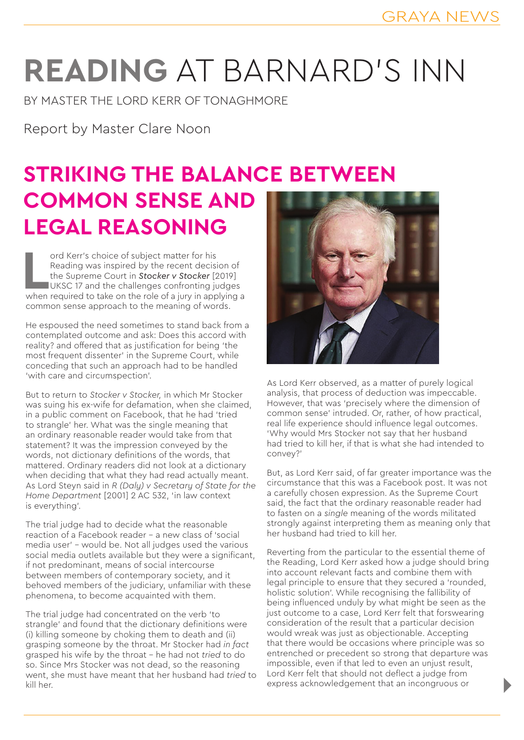## **READING** AT BARNARD'S INN

BY MASTER THE LORD KERR OF TONAGHMORE

Report by Master Clare Noon

## **STRIKING THE BALANCE BETWEEN COMMON SENSE AND LEGAL REASONING**

ord Kerr's choice of subject matter for his<br>
Reading was inspired by the recent decision of<br>
the Supreme Court in **Stocker v Stocker** [2019]<br>
UKSC 17 and the challenges confronting judges<br>
when required to take on the role ord Kerr's choice of subject matter for his Reading was inspired by the recent decision of the Supreme Court in *Stocker v Stocker* [2019] UKSC 17 and the challenges confronting judges common sense approach to the meaning of words.

He espoused the need sometimes to stand back from a contemplated outcome and ask: Does this accord with reality? and offered that as justification for being 'the most frequent dissenter' in the Supreme Court, while conceding that such an approach had to be handled 'with care and circumspection'.

But to return to *Stocker v Stocker,* in which Mr Stocker was suing his ex-wife for defamation, when she claimed, in a public comment on Facebook, that he had 'tried to strangle' her. What was the single meaning that an ordinary reasonable reader would take from that statement? It was the impression conveyed by the words, not dictionary definitions of the words, that mattered. Ordinary readers did not look at a dictionary when deciding that what they had read actually meant. As Lord Steyn said in *R (Daly) v Secretary of State for the Home Department* [2001] 2 AC 532, 'in law context is everything'.

The trial judge had to decide what the reasonable reaction of a Facebook reader – a new class of 'social media user' – would be. Not all judges used the various social media outlets available but they were a significant. if not predominant, means of social intercourse between members of contemporary society, and it behoved members of the judiciary, unfamiliar with these phenomena, to become acquainted with them.

The trial judge had concentrated on the verb 'to strangle' and found that the dictionary definitions were (i) killing someone by choking them to death and (ii) grasping someone by the throat. Mr Stocker had *in fact*  grasped his wife by the throat – he had not *tried* to do so. Since Mrs Stocker was not dead, so the reasoning went, she must have meant that her husband had *tried* to kill her.



As Lord Kerr observed, as a matter of purely logical analysis, that process of deduction was impeccable. However, that was 'precisely where the dimension of common sense' intruded. Or, rather, of how practical, real life experience should influence legal outcomes. 'Why would Mrs Stocker not say that her husband had tried to kill her, if that is what she had intended to convey?'

But, as Lord Kerr said, of far greater importance was the circumstance that this was a Facebook post. It was not a carefully chosen expression. As the Supreme Court said, the fact that the ordinary reasonable reader had to fasten on a *single* meaning of the words militated strongly against interpreting them as meaning only that her husband had tried to kill her.

Reverting from the particular to the essential theme of the Reading, Lord Kerr asked how a judge should bring into account relevant facts and combine them with legal principle to ensure that they secured a 'rounded, holistic solution'. While recognising the fallibility of being influenced unduly by what might be seen as the just outcome to a case, Lord Kerr felt that forswearing consideration of the result that a particular decision would wreak was just as objectionable. Accepting that there would be occasions where principle was so entrenched or precedent so strong that departure was impossible, even if that led to even an unjust result, Lord Kerr felt that should not deflect a judge from express acknowledgement that an incongruous or

D